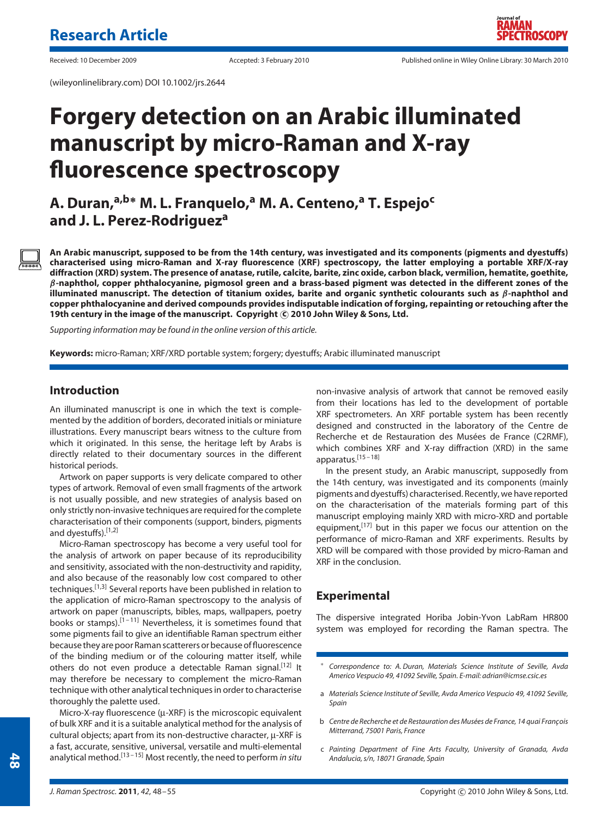(wileyonlinelibrary.com) DOI 10.1002/jrs.2644

# **Forgery detection on an Arabic illuminated manuscript by micro-Raman and X-ray fluorescence spectroscopy**

**A. Duran,a,b<sup>∗</sup> M. L. Franquelo,<sup>a</sup> M. A. Centeno,<sup>a</sup> T. Espejo<sup>c</sup> and J. L. Perez-Rodrigueza**

**An Arabic manuscript, supposed to be from the 14th century, was investigated and its components (pigments and dyestuffs) characterised using micro-Raman and X-ray fluorescence (XRF) spectroscopy, the latter employing a portable XRF/X-ray diffraction (XRD) system. The presence of anatase, rutile, calcite, barite, zinc oxide, carbon black, vermilion, hematite, goethite,** *β***-naphthol, copper phthalocyanine, pigmosol green and a brass-based pigment was detected in the different zones of the illuminated manuscript. The detection of titanium oxides, barite and organic synthetic colourants such as** *β***-naphthol and copper phthalocyanine and derived compounds provides indisputable indication of forging, repainting or retouching after the 19th century in the image of the manuscript. Copyright c 2010 John Wiley & Sons, Ltd.**

*Supporting information may be found in the online version of this article.*

**Keywords:** micro-Raman; XRF/XRD portable system; forgery; dyestuffs; Arabic illuminated manuscript

## **Introduction**

An illuminated manuscript is one in which the text is complemented by the addition of borders, decorated initials or miniature illustrations. Every manuscript bears witness to the culture from which it originated. In this sense, the heritage left by Arabs is directly related to their documentary sources in the different historical periods.

Artwork on paper supports is very delicate compared to other types of artwork. Removal of even small fragments of the artwork is not usually possible, and new strategies of analysis based on only strictly non-invasive techniques are required for the complete characterisation of their components (support, binders, pigments and dyestuffs).[1,2]

Micro-Raman spectroscopy has become a very useful tool for the analysis of artwork on paper because of its reproducibility and sensitivity, associated with the non-destructivity and rapidity, and also because of the reasonably low cost compared to other techniques.[1,3] Several reports have been published in relation to the application of micro-Raman spectroscopy to the analysis of artwork on paper (manuscripts, bibles, maps, wallpapers, poetry books or stamps).<sup>[1-11]</sup> Nevertheless, it is sometimes found that some pigments fail to give an identifiable Raman spectrum either because they are poor Raman scatterers or because of fluorescence of the binding medium or of the colouring matter itself, while others do not even produce a detectable Raman signal.<sup>[12]</sup> It may therefore be necessary to complement the micro-Raman technique with other analytical techniques in order to characterise thoroughly the palette used.

Micro-X-ray fluorescence ( $\mu$ -XRF) is the microscopic equivalent of bulk XRF and it is a suitable analytical method for the analysis of cultural objects; apart from its non-destructive character, µ-XRF is a fast, accurate, sensitive, universal, versatile and multi-elemental analytical method.[13 – 15] Most recently, the need to perform *in situ* non-invasive analysis of artwork that cannot be removed easily from their locations has led to the development of portable XRF spectrometers. An XRF portable system has been recently designed and constructed in the laboratory of the Centre de Recherche et de Restauration des Musées de France (C2RMF), which combines XRF and X-ray diffraction (XRD) in the same apparatus.[15 – 18]

In the present study, an Arabic manuscript, supposedly from the 14th century, was investigated and its components (mainly pigments and dyestuffs) characterised. Recently, we have reported on the characterisation of the materials forming part of this manuscript employing mainly XRD with micro-XRD and portable equipment,<sup>[17]</sup> but in this paper we focus our attention on the performance of micro-Raman and XRF experiments. Results by XRD will be compared with those provided by micro-Raman and XRF in the conclusion.

# **Experimental**

The dispersive integrated Horiba Jobin-Yvon LabRam HR800 system was employed for recording the Raman spectra. The

c *Painting Department of Fine Arts Faculty, University of Granada, Avda Andalucia, s/n, 18071 Granade, Spain*

<sup>∗</sup> *Correspondence to: A. Duran, Materials Science Institute of Seville, Avda Americo Vespucio 49, 41092 Seville, Spain. E-mail: adrian@icmse.csic.es*

a *Materials Science Institute of Seville, Avda Americo Vespucio 49, 41092 Seville, Spain*

b *Centre de Recherche et de Restauration des Musées de France, 14 quai François Mitterrand, 75001 Paris, France*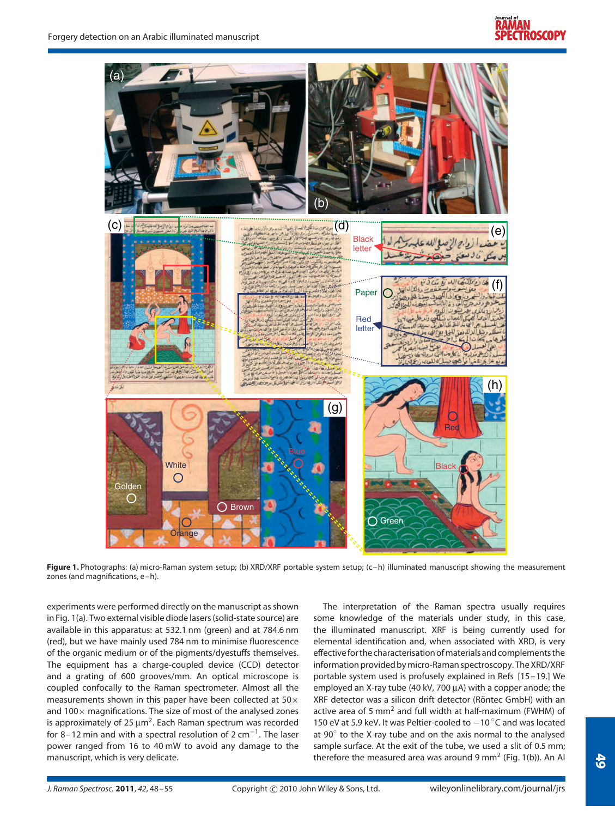

**Figure 1.** Photographs: (a) micro-Raman system setup; (b) XRD/XRF portable system setup; (c-h) illuminated manuscript showing the measurement zones (and magnifications, e–h).

experiments were performed directly on the manuscript as shown in Fig. 1(a). Two external visible diode lasers (solid-state source) are available in this apparatus: at 532.1 nm (green) and at 784.6 nm (red), but we have mainly used 784 nm to minimise fluorescence of the organic medium or of the pigments/dyestuffs themselves. The equipment has a charge-coupled device (CCD) detector and a grating of 600 grooves/mm. An optical microscope is coupled confocally to the Raman spectrometer. Almost all the measurements shown in this paper have been collected at  $50\times$ and  $100\times$  magnifications. The size of most of the analysed zones is approximately of 25  $\mu$ m<sup>2</sup>. Each Raman spectrum was recorded for 8–12 min and with a spectral resolution of 2 cm<sup>-1</sup>. The laser power ranged from 16 to 40 mW to avoid any damage to the manuscript, which is very delicate.

The interpretation of the Raman spectra usually requires some knowledge of the materials under study, in this case, the illuminated manuscript. XRF is being currently used for elemental identification and, when associated with XRD, is very effective for the characterisation of materials and complements the information provided by micro-Raman spectroscopy. The XRD/XRF portable system used is profusely explained in Refs [15–19.] We employed an X-ray tube (40 kV, 700 µA) with a copper anode; the XRF detector was a silicon drift detector (Röntec GmbH) with an active area of 5  $mm<sup>2</sup>$  and full width at half-maximum (FWHM) of 150 eV at 5.9 keV. It was Peltier-cooled to  $-10\degree$ C and was located at 90◦ to the X-ray tube and on the axis normal to the analysed sample surface. At the exit of the tube, we used a slit of 0.5 mm; therefore the measured area was around 9 mm<sup>2</sup> (Fig. 1(b)). An Al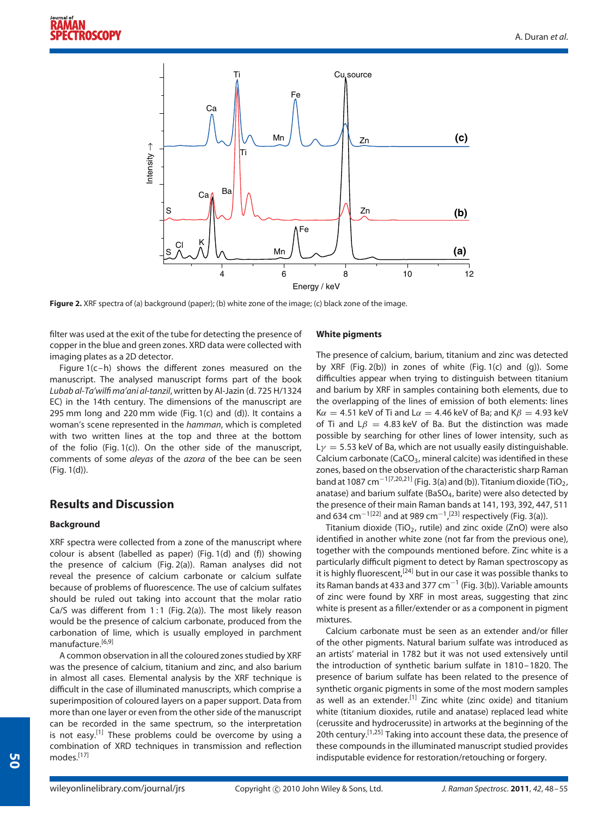

**Figure 2.** XRF spectra of (a) background (paper); (b) white zone of the image; (c) black zone of the image.

filter was used at the exit of the tube for detecting the presence of copper in the blue and green zones. XRD data were collected with imaging plates as a 2D detector.

Figure 1(c–h) shows the different zones measured on the manuscript. The analysed manuscript forms part of the book *Lubab al-Ta'wilfi ma'ani al-tanzil*, written by Al-Jazin (d. 725 H/1324 EC) in the 14th century. The dimensions of the manuscript are 295 mm long and 220 mm wide (Fig. 1(c) and (d)). It contains a woman's scene represented in the *hamman*, which is completed with two written lines at the top and three at the bottom of the folio (Fig. 1(c)). On the other side of the manuscript, comments of some *aleyas* of the *azora* of the bee can be seen (Fig. 1(d)).

# **Results and Discussion**

## **Background**

XRF spectra were collected from a zone of the manuscript where colour is absent (labelled as paper) (Fig. 1(d) and (f)) showing the presence of calcium (Fig. 2(a)). Raman analyses did not reveal the presence of calcium carbonate or calcium sulfate because of problems of fluorescence. The use of calcium sulfates should be ruled out taking into account that the molar ratio Ca/S was different from 1:1 (Fig. 2(a)). The most likely reason would be the presence of calcium carbonate, produced from the carbonation of lime, which is usually employed in parchment manufacture.[6,9]

A common observation in all the coloured zones studied by XRF was the presence of calcium, titanium and zinc, and also barium in almost all cases. Elemental analysis by the XRF technique is difficult in the case of illuminated manuscripts, which comprise a superimposition of coloured layers on a paper support. Data from more than one layer or even from the other side of the manuscript can be recorded in the same spectrum, so the interpretation is not easy.<sup>[1]</sup> These problems could be overcome by using a combination of XRD techniques in transmission and reflection modes.[17]

## **White pigments**

The presence of calcium, barium, titanium and zinc was detected by XRF (Fig. 2(b)) in zones of white (Fig. 1(c) and (g)). Some difficulties appear when trying to distinguish between titanium and barium by XRF in samples containing both elements, due to the overlapping of the lines of emission of both elements: lines  $K\alpha = 4.51$  keV of Ti and L $\alpha = 4.46$  keV of Ba; and K $\beta = 4.93$  keV of Ti and L*β* = 4*.*83 keV of Ba. But the distinction was made possible by searching for other lines of lower intensity, such as L*γ* = 5*.*53 keV of Ba, which are not usually easily distinguishable. Calcium carbonate (CaCO<sub>3</sub>, mineral calcite) was identified in these zones, based on the observation of the characteristic sharp Raman band at 1087 cm<sup>-1[7,20,21]</sup> (Fig. 3(a) and (b)). Titanium dioxide (TiO<sub>2</sub>, anatase) and barium sulfate (BaSO4, barite) were also detected by the presence of their main Raman bands at 141, 193, 392, 447, 511 and 634 cm $^{-1\,[22]}$  and at 989 cm $^{-1}\,[^{23]}$  respectively (Fig. 3(a)).

Titanium dioxide (TiO<sub>2</sub>, rutile) and zinc oxide (ZnO) were also identified in another white zone (not far from the previous one), together with the compounds mentioned before. Zinc white is a particularly difficult pigment to detect by Raman spectroscopy as it is highly fluorescent,<sup>[24]</sup> but in our case it was possible thanks to its Raman bands at 433 and 377 cm<sup>-1</sup> (Fig. 3(b)). Variable amounts of zinc were found by XRF in most areas, suggesting that zinc white is present as a filler/extender or as a component in pigment mixtures.

Calcium carbonate must be seen as an extender and/or filler of the other pigments. Natural barium sulfate was introduced as an artists' material in 1782 but it was not used extensively until the introduction of synthetic barium sulfate in 1810–1820. The presence of barium sulfate has been related to the presence of synthetic organic pigments in some of the most modern samples as well as an extender.<sup>[1]</sup> Zinc white (zinc oxide) and titanium white (titanium dioxides, rutile and anatase) replaced lead white (cerussite and hydrocerussite) in artworks at the beginning of the 20th century.<sup>[1,25]</sup> Taking into account these data, the presence of these compounds in the illuminated manuscript studied provides indisputable evidence for restoration/retouching or forgery.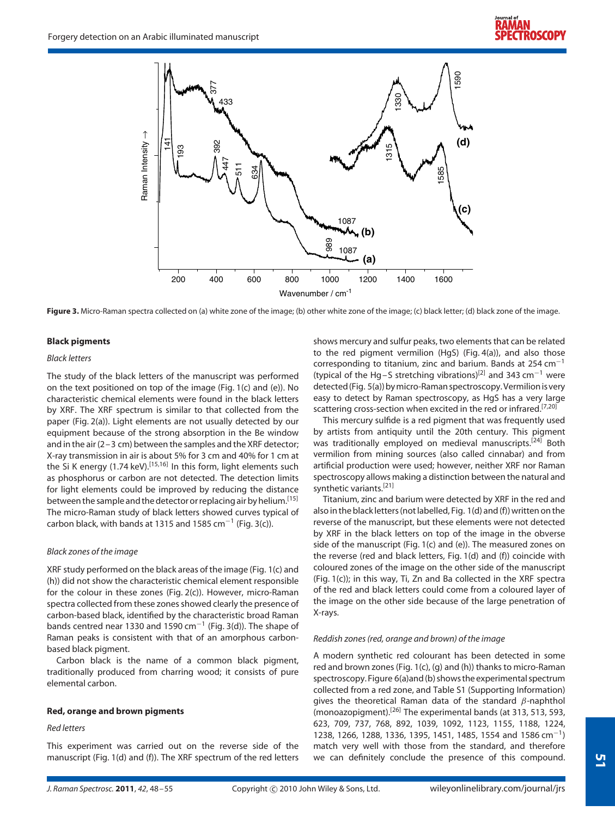

Figure 3. Micro-Raman spectra collected on (a) white zone of the image; (b) other white zone of the image; (c) black letter; (d) black zone of the image.

#### **Black pigments**

#### *Black letters*

The study of the black letters of the manuscript was performed on the text positioned on top of the image (Fig. 1(c) and (e)). No characteristic chemical elements were found in the black letters by XRF. The XRF spectrum is similar to that collected from the paper (Fig. 2(a)). Light elements are not usually detected by our equipment because of the strong absorption in the Be window and in the air (2–3 cm) between the samples and the XRF detector; X-ray transmission in air is about 5% for 3 cm and 40% for 1 cm at the Si K energy (1.74 keV).<sup>[15,16]</sup> In this form, light elements such as phosphorus or carbon are not detected. The detection limits for light elements could be improved by reducing the distance between the sample and the detector or replacing air by helium.<sup>[15]</sup> The micro-Raman study of black letters showed curves typical of carbon black, with bands at 1315 and 1585  $cm^{-1}$  (Fig. 3(c)).

#### *Black zones of the image*

XRF study performed on the black areas of the image (Fig. 1(c) and (h)) did not show the characteristic chemical element responsible for the colour in these zones (Fig. 2(c)). However, micro-Raman spectra collected from these zones showed clearly the presence of carbon-based black, identified by the characteristic broad Raman bands centred near 1330 and 1590 cm<sup>-1</sup> (Fig. 3(d)). The shape of Raman peaks is consistent with that of an amorphous carbonbased black pigment.

Carbon black is the name of a common black pigment, traditionally produced from charring wood; it consists of pure elemental carbon.

#### **Red, orange and brown pigments**

#### *Red letters*

This experiment was carried out on the reverse side of the manuscript (Fig. 1(d) and (f)). The XRF spectrum of the red letters shows mercury and sulfur peaks, two elements that can be related to the red pigment vermilion (HgS) (Fig. 4(a)), and also those corresponding to titanium, zinc and barium. Bands at 254  $cm^{-1}$ (typical of the Hg–S stretching vibrations)[2] and 343 cm−<sup>1</sup> were detected (Fig. 5(a)) by micro-Raman spectroscopy. Vermilion is very easy to detect by Raman spectroscopy, as HgS has a very large scattering cross-section when excited in the red or infrared.<sup>[7,20]</sup>

This mercury sulfide is a red pigment that was frequently used by artists from antiquity until the 20th century. This pigment was traditionally employed on medieval manuscripts.<sup>[24]</sup> Both vermilion from mining sources (also called cinnabar) and from artificial production were used; however, neither XRF nor Raman spectroscopy allows making a distinction between the natural and synthetic variants.<sup>[21]</sup>

Titanium, zinc and barium were detected by XRF in the red and also in the black letters (not labelled, Fig. 1(d) and (f)) written on the reverse of the manuscript, but these elements were not detected by XRF in the black letters on top of the image in the obverse side of the manuscript (Fig. 1(c) and (e)). The measured zones on the reverse (red and black letters, Fig. 1(d) and (f)) coincide with coloured zones of the image on the other side of the manuscript (Fig. 1(c)); in this way, Ti, Zn and Ba collected in the XRF spectra of the red and black letters could come from a coloured layer of the image on the other side because of the large penetration of X-rays.

#### *Reddish zones (red, orange and brown) of the image*

A modern synthetic red colourant has been detected in some red and brown zones (Fig. 1(c), (g) and (h)) thanks to micro-Raman spectroscopy. Figure 6(a)and (b) shows the experimental spectrum collected from a red zone, and Table S1 (Supporting Information) gives the theoretical Raman data of the standard *β*-naphthol (monoazopigment).[26] The experimental bands (at 313, 513, 593, 623, 709, 737, 768, 892, 1039, 1092, 1123, 1155, 1188, 1224, 1238, 1266, 1288, 1336, 1395, 1451, 1485, 1554 and 1586 cm−1) match very well with those from the standard, and therefore we can definitely conclude the presence of this compound.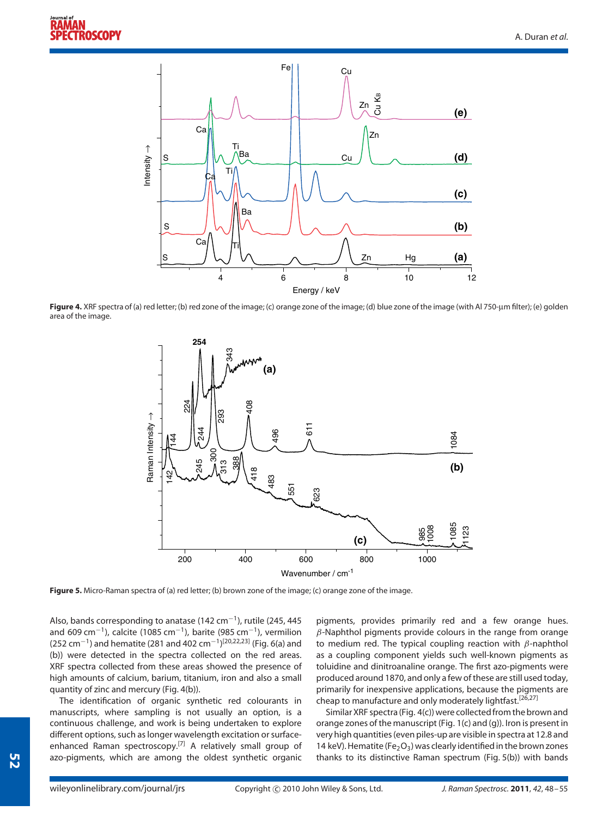

**Figure 4.** XRF spectra of (a) red letter; (b) red zone of the image; (c) orange zone of the image; (d) blue zone of the image (with Al 750-µm filter); (e) golden area of the image.



**Figure 5.** Micro-Raman spectra of (a) red letter; (b) brown zone of the image; (c) orange zone of the image.

Also, bands corresponding to anatase (142 cm−1), rutile (245, 445 and 609 cm<sup>-1</sup>), calcite (1085 cm<sup>-1</sup>), barite (985 cm<sup>-1</sup>), vermilion (252 cm<sup>-1</sup>) and hematite (281 and 402 cm<sup>-1</sup>)<sup>[20,22,23]</sup> (Fig. 6(a) and (b)) were detected in the spectra collected on the red areas. XRF spectra collected from these areas showed the presence of high amounts of calcium, barium, titanium, iron and also a small quantity of zinc and mercury (Fig. 4(b)).

The identification of organic synthetic red colourants in manuscripts, where sampling is not usually an option, is a continuous challenge, and work is being undertaken to explore different options, such as longer wavelength excitation or surfaceenhanced Raman spectroscopy.<sup>[7]</sup> A relatively small group of azo-pigments, which are among the oldest synthetic organic pigments, provides primarily red and a few orange hues. *β*-Naphthol pigments provide colours in the range from orange to medium red. The typical coupling reaction with *β*-naphthol as a coupling component yields such well-known pigments as toluidine and dinitroanaline orange. The first azo-pigments were produced around 1870, and only a few of these are still used today, primarily for inexpensive applications, because the pigments are cheap to manufacture and only moderately lightfast.<sup>[26,27]</sup>

Similar XRF spectra (Fig. 4(c)) were collected from the brown and orange zones of the manuscript (Fig. 1(c) and (g)). Iron is present in very high quantities (even piles-up are visible in spectra at 12.8 and 14 keV). Hematite (Fe<sub>2</sub>O<sub>3</sub>) was clearly identified in the brown zones thanks to its distinctive Raman spectrum (Fig. 5(b)) with bands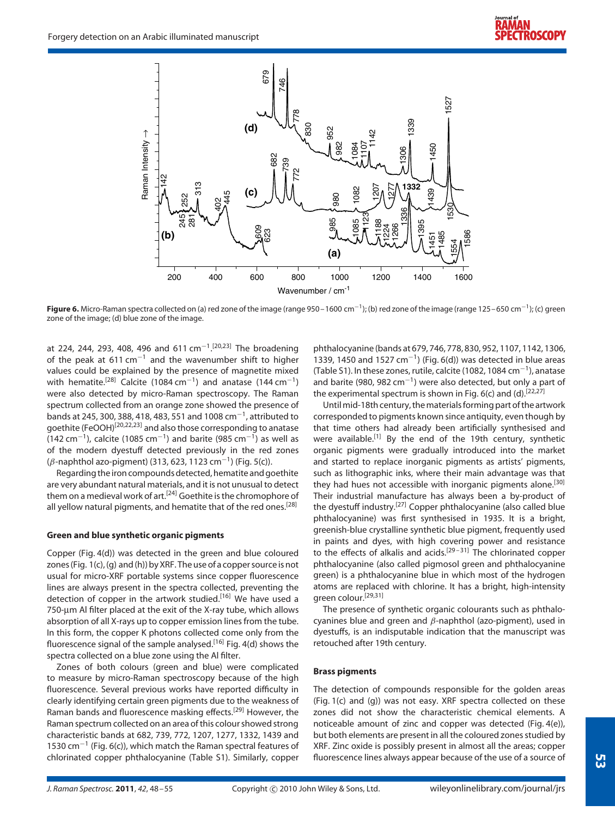

**Figure 6.** Micro-Raman spectra collected on (a) red zone of the image (range 950–1600 cm<sup>−1</sup>); (b) red zone of the image (range 125–650 cm<sup>−1</sup>); (c) green zone of the image; (d) blue zone of the image.

at 224, 244, 293, 408, 496 and 611 cm<sup>-1</sup>.<sup>[20,23]</sup> The broadening of the peak at 611 cm<sup>-1</sup> and the wavenumber shift to higher values could be explained by the presence of magnetite mixed with hematite.<sup>[28]</sup> Calcite (1084 cm<sup>-1</sup>) and anatase (144 cm<sup>-1</sup>) were also detected by micro-Raman spectroscopy. The Raman spectrum collected from an orange zone showed the presence of bands at 245, 300, 388, 418, 483, 551 and 1008 cm−1, attributed to goethite (FeOOH)[20,22,23] and also those corresponding to anatase (142 cm<sup>-1</sup>), calcite (1085 cm<sup>-1</sup>) and barite (985 cm<sup>-1</sup>) as well as of the modern dyestuff detected previously in the red zones (*β*-naphthol azo-pigment) (313, 623, 1123 cm−1) (Fig. 5(c)).

Regarding the iron compounds detected, hematite and goethite are very abundant natural materials, and it is not unusual to detect them on a medieval work of art.<sup>[24]</sup> Goethite is the chromophore of all yellow natural pigments, and hematite that of the red ones.<sup>[28]</sup>

#### **Green and blue synthetic organic pigments**

Copper (Fig. 4(d)) was detected in the green and blue coloured zones (Fig. 1(c), (g) and (h)) by XRF. The use of a copper source is not usual for micro-XRF portable systems since copper fluorescence lines are always present in the spectra collected, preventing the detection of copper in the artwork studied.<sup>[16]</sup> We have used a 750-µm Al filter placed at the exit of the X-ray tube, which allows absorption of all X-rays up to copper emission lines from the tube. In this form, the copper K photons collected come only from the fluorescence signal of the sample analysed.<sup>[16]</sup> Fig. 4(d) shows the spectra collected on a blue zone using the Al filter.

Zones of both colours (green and blue) were complicated to measure by micro-Raman spectroscopy because of the high fluorescence. Several previous works have reported difficulty in clearly identifying certain green pigments due to the weakness of Raman bands and fluorescence masking effects.[29] However, the Raman spectrum collected on an area of this colour showed strong characteristic bands at 682, 739, 772, 1207, 1277, 1332, 1439 and 1530 cm−<sup>1</sup> (Fig. 6(c)), which match the Raman spectral features of chlorinated copper phthalocyanine (Table S1). Similarly, copper phthalocyanine (bands at 679, 746, 778, 830, 952, 1107, 1142, 1306, 1339, 1450 and 1527 cm<sup>-1</sup>) (Fig. 6(d)) was detected in blue areas (Table S1). In these zones, rutile, calcite (1082, 1084 cm−1), anatase and barite (980, 982 cm<sup>-1</sup>) were also detected, but only a part of the experimental spectrum is shown in Fig.  $6(c)$  and  $(d)$ .<sup>[22,27]</sup>

Until mid-18th century, the materials forming part of the artwork corresponded to pigments known since antiquity, even though by that time others had already been artificially synthesised and were available.<sup>[1]</sup> By the end of the 19th century, synthetic organic pigments were gradually introduced into the market and started to replace inorganic pigments as artists' pigments, such as lithographic inks, where their main advantage was that they had hues not accessible with inorganic pigments alone.<sup>[30]</sup> Their industrial manufacture has always been a by-product of the dyestuff industry.<sup>[27]</sup> Copper phthalocyanine (also called blue phthalocyanine) was first synthesised in 1935. It is a bright, greenish-blue crystalline synthetic blue pigment, frequently used in paints and dyes, with high covering power and resistance to the effects of alkalis and acids.<sup>[29-31]</sup> The chlorinated copper phthalocyanine (also called pigmosol green and phthalocyanine green) is a phthalocyanine blue in which most of the hydrogen atoms are replaced with chlorine. It has a bright, high-intensity green colour.[29,31]

The presence of synthetic organic colourants such as phthalocyanines blue and green and *β*-naphthol (azo-pigment), used in dyestuffs, is an indisputable indication that the manuscript was retouched after 19th century.

#### **Brass pigments**

The detection of compounds responsible for the golden areas (Fig. 1(c) and (g)) was not easy. XRF spectra collected on these zones did not show the characteristic chemical elements. A noticeable amount of zinc and copper was detected (Fig. 4(e)), but both elements are present in all the coloured zones studied by XRF. Zinc oxide is possibly present in almost all the areas; copper fluorescence lines always appear because of the use of a source of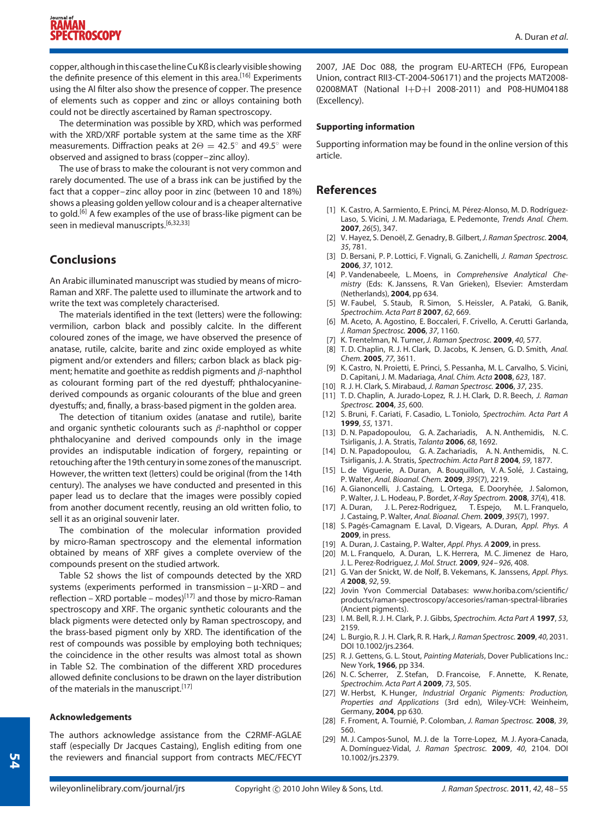copper, although in this case the line Cu Kß is clearly visible showing the definite presence of this element in this area.<sup>[16]</sup> Experiments using the Al filter also show the presence of copper. The presence of elements such as copper and zinc or alloys containing both could not be directly ascertained by Raman spectroscopy.

The determination was possible by XRD, which was performed with the XRD/XRF portable system at the same time as the XRF measurements. Diffraction peaks at  $2\Theta = 42.5^\circ$  and  $49.5^\circ$  were observed and assigned to brass (copper–zinc alloy).

The use of brass to make the colourant is not very common and rarely documented. The use of a brass ink can be justified by the fact that a copper–zinc alloy poor in zinc (between 10 and 18%) shows a pleasing golden yellow colour and is a cheaper alternative to gold.<sup>[6]</sup> A few examples of the use of brass-like pigment can be seen in medieval manuscripts.<sup>[6,32,33]</sup>

# **Conclusions**

An Arabic illuminated manuscript was studied by means of micro-Raman and XRF. The palette used to illuminate the artwork and to write the text was completely characterised.

The materials identified in the text (letters) were the following: vermilion, carbon black and possibly calcite. In the different coloured zones of the image, we have observed the presence of anatase, rutile, calcite, barite and zinc oxide employed as white pigment and/or extenders and fillers; carbon black as black pigment; hematite and goethite as reddish pigments and *β*-naphthol as colourant forming part of the red dyestuff; phthalocyaninederived compounds as organic colourants of the blue and green dyestuffs; and, finally, a brass-based pigment in the golden area.

The detection of titanium oxides (anatase and rutile), barite and organic synthetic colourants such as *β*-naphthol or copper phthalocyanine and derived compounds only in the image provides an indisputable indication of forgery, repainting or retouching after the 19th century in some zones of the manuscript. However, the written text (letters) could be original (from the 14th century). The analyses we have conducted and presented in this paper lead us to declare that the images were possibly copied from another document recently, reusing an old written folio, to sell it as an original souvenir later.

The combination of the molecular information provided by micro-Raman spectroscopy and the elemental information obtained by means of XRF gives a complete overview of the compounds present on the studied artwork.

Table S2 shows the list of compounds detected by the XRD systems (experiments performed in transmission – µ-XRD – and reflection – XRD portable – modes)<sup>[17]</sup> and those by micro-Raman spectroscopy and XRF. The organic synthetic colourants and the black pigments were detected only by Raman spectroscopy, and the brass-based pigment only by XRD. The identification of the rest of compounds was possible by employing both techniques; the coincidence in the other results was almost total as shown in Table S2. The combination of the different XRD procedures allowed definite conclusions to be drawn on the layer distribution of the materials in the manuscript.<sup>[17]</sup>

#### **Acknowledgements**

The authors acknowledge assistance from the C2RMF-AGLAE staff (especially Dr Jacques Castaing), English editing from one the reviewers and financial support from contracts MEC/FECYT 2007, JAE Doc 088, the program EU-ARTECH (FP6, European Union, contract RII3-CT-2004-506171) and the projects MAT2008- 02008MAT (National I+D+I 2008-2011) and P08-HUM04188 (Excellency).

#### **Supporting information**

Supporting information may be found in the online version of this article.

## **References**

- [1] K. Castro, A. Sarmiento, E. Princi, M. Pérez-Alonso, M. D. Rodríguez-Laso, S. Vicini, J. M. Madariaga, E. Pedemonte, *Trends Anal. Chem.* **2007**, *26*(5), 347.
- [2] V. Hayez, S. Denoël, Z. Genadry, B. Gilbert, J. Raman Spectrosc. 2004, *35*, 781.
- [3] D. Bersani, P. P. Lottici, F. Vignali, G. Zanichelli, *J. Raman Spectrosc.* **2006**, *37*, 1012.
- [4] P. Vandenabeele, L. Moens, in *Comprehensive Analytical Chemistry* (Eds: K. Janssens, R. Van Grieken), Elsevier: Amsterdam (Netherlands), **2004**, pp 634.
- [5] W. Faubel, S. Staub, R. Simon, S. Heissler, A. Pataki, G. Banik, *Spectrochim. Acta Part B* **2007**, *62*, 669.
- [6] M. Aceto, A. Agostino, E. Boccaleri, F. Crivello, A. Cerutti Garlanda, *J. Raman Spectrosc.* **2006**, *37*, 1160.
- [7] K. Trentelman, N. Turner, *J. Raman Spectrosc.* **2009**, *40*, 577.
- [8] T. D. Chaplin, R. J. H. Clark, D. Jacobs, K. Jensen, G. D. Smith, *Anal. Chem.* **2005**, *77*, 3611.
- [9] K. Castro, N. Proietti, E. Princi, S. Pessanha, M. L. Carvalho, S. Vicini, D. Capitani, J. M. Madariaga, *Anal. Chim. Acta* **2008**, *623*, 187.
- [10] R. J. H. Clark, S. Mirabaud, *J. Raman Spectrosc.* **2006**, *37*, 235.
- [11] T. D. Chaplin, A. Jurado-Lopez, R. J. H. Clark, D. R. Beech, *J. Raman Spectrosc.* **2004**, *35*, 600.
- [12] S. Bruni, F. Cariati, F. Casadio, L. Toniolo, *Spectrochim. Acta Part A* **1999**, *55*, 1371.
- [13] D. N. Papadopoulou, G. A. Zachariadis, A. N. Anthemidis, N. C. Tsirliganis, J. A. Stratis, *Talanta* **2006**, *68*, 1692.
- [14] D. N. Papadopoulou, G. A. Zachariadis, A. N. Anthemidis, N. C. Tsirliganis, J. A. Stratis, *Spectrochim. Acta Part B* **2004**, *59*, 1877.
- [15] L. de Viguerie, A. Duran, A. Bouquillon, V. A. Solé, J. Castaing, P. Walter, *Anal. Bioanal. Chem.* **2009**, *395*(7), 2219.
- [16] A. Gianoncelli, J. Castaing, L. Ortega, E. Dooryhée, J. Salomon, P. Walter, J. L. Hodeau, P. Bordet, *X-Ray Spectrom.* **2008**, *37*(4), 418.
- [17] A. Duran, J. L. Perez-Rodriguez, T. Espejo, M. L. Franquelo, J. Castaing, P. Walter, *Anal. Bioanal. Chem.* **2009**, *395*(7), 1997.
- [18] S. Pages-Camagnam E. Laval, D. Vigears, A. Duran, ´ *Appl. Phys. A* **2009**, in press.
- [19] A. Duran, J. Castaing, P. Walter, *Appl. Phys. A* **2009**, in press.
- [20] M. L. Franquelo, A. Duran, L. K. Herrera, M. C. Jimenez de Haro,
- J. L. Perez-Rodriguez, *J. Mol. Struct.* **2009**, *924–926*, 408. [21] G. Van der Snickt, W. de Nolf, B. Vekemans, K. Janssens, *Appl. Phys.*
- *A* **2008**, *92*, 59. [22] Jovin Yvon Commercial Databases: www.horiba.com/scientific/ products/raman-spectroscopy/accesories/raman-spectral-libraries (Ancient pigments).
- [23] I. M. Bell, R. J. H. Clark, P. J. Gibbs, *Spectrochim. Acta Part A* **1997**, *53*, 2159.
- [24] L. Burgio, R. J. H. Clark, R. R. Hark,*J. Raman Spectrosc.* **2009**, *40*, 2031. DOI 10.1002/jrs.2364.
- [25] R. J. Gettens, G. L. Stout, *Painting Materials*, Dover Publications Inc.: New York, **1966**, pp 334.
- [26] N. C. Scherrer, Z. Stefan, D. Francoise, F. Annette, K. Renate, *Spectrochim. Acta Part A* **2009**, *73*, 505.
- [27] W. Herbst, K. Hunger, *Industrial Organic Pigments: Production, Properties and Applications* (3rd edn), Wiley-VCH: Weinheim, Germany, **2004**, pp 630.
- [28] F. Froment, A. Tournié, P. Colomban, J. Raman Spectrosc. 2008, 39, 560.
- [29] M. J. Campos-Sunol, M. J. de la Torre-Lopez, M. J. Ayora-Canada, A. Domínguez-Vidal, *J. Raman Spectrosc.* **2009**, *40*, 2104. DOI 10.1002/jrs.2379.